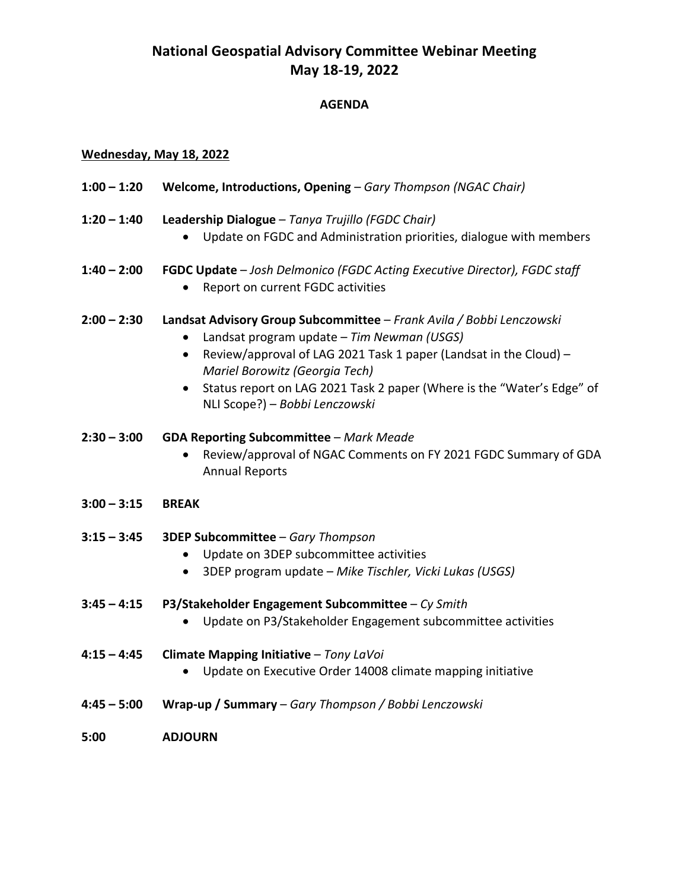# **National Geospatial Advisory Committee Webinar Meeting May 18-19, 2022**

## **AGENDA**

#### **Wednesday, May 18, 2022**

- **1:00 – 1:20 Welcome, Introductions, Opening** *Gary Thompson (NGAC Chair)*
- **1:20 – 1:40 Leadership Dialogue** *Tanya Trujillo (FGDC Chair)*
	- Update on FGDC and Administration priorities, dialogue with members
- **1:40 – 2:00 FGDC Update** *Josh Delmonico (FGDC Acting Executive Director), FGDC staff*
	- Report on current FGDC activities
- **2:00 – 2:30 Landsat Advisory Group Subcommittee**  *Frank Avila / Bobbi Lenczowski*
	- Landsat program update *Tim Newman (USGS)*
	- Review/approval of LAG 2021 Task 1 paper (Landsat in the Cloud) *Mariel Borowitz (Georgia Tech)*
	- Status report on LAG 2021 Task 2 paper (Where is the "Water's Edge" of NLI Scope?) – *Bobbi Lenczowski*
- **2:30 – 3:00 GDA Reporting Subcommittee**  *Mark Meade*
	- Review/approval of NGAC Comments on FY 2021 FGDC Summary of GDA Annual Reports
- **3:00 – 3:15 BREAK**
- **3:15 – 3:45 3DEP Subcommittee**  *Gary Thompson*
	- Update on 3DEP subcommittee activities
	- 3DEP program update *Mike Tischler, Vicki Lukas (USGS)*
- **3:45 – 4:15 P3/Stakeholder Engagement Subcommittee**  *Cy Smith*
	- Update on P3/Stakeholder Engagement subcommittee activities
- **4:15 – 4:45 Climate Mapping Initiative** *Tony LaVoi*
	- Update on Executive Order 14008 climate mapping initiative
- **4:45 – 5:00 Wrap-up / Summary**  *Gary Thompson / Bobbi Lenczowski*
- **5:00 ADJOURN**